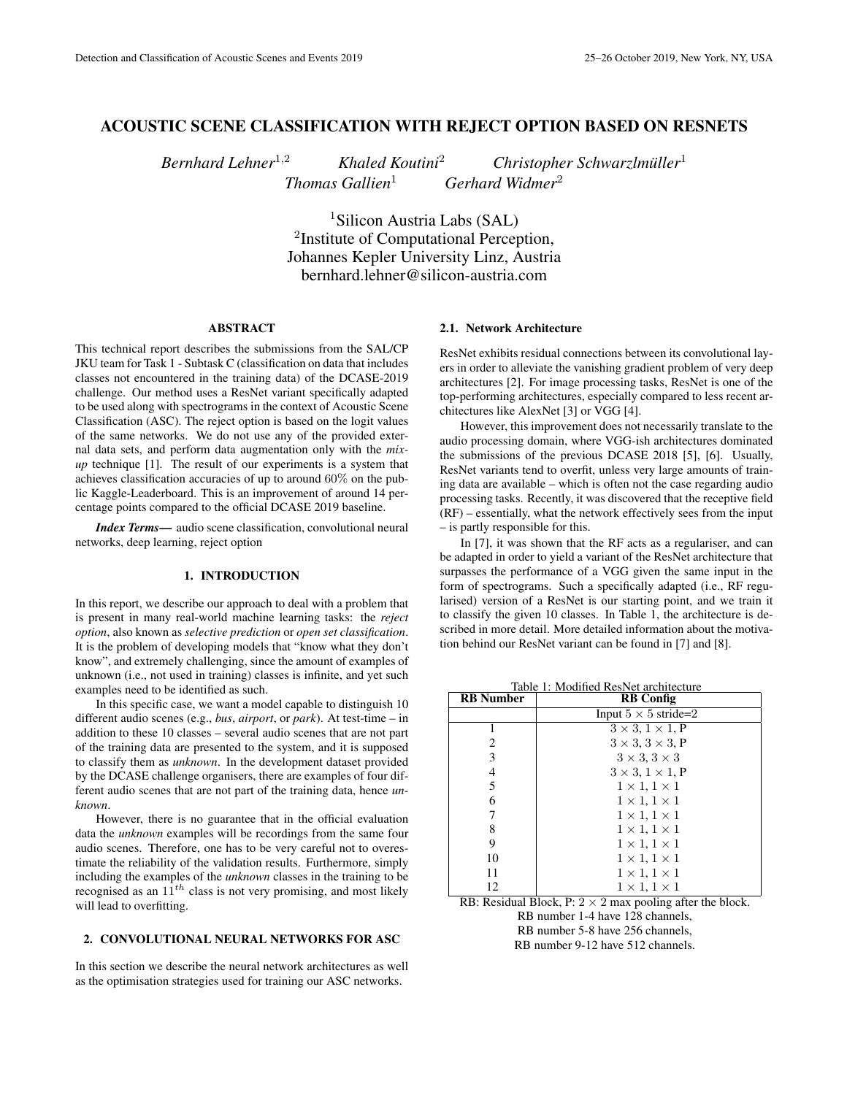# ACOUSTIC SCENE CLASSIFICATION WITH REJECT OPTION BASED ON RESNETS

*Bernhard Lehner*<sup>1,2</sup> *Khaled Koutini<sup>2</sup> <i>Christopher Schwarzlmüller*<sup>1</sup>

*Thomas Gallien*<sup>1</sup> *Gerhard Widmer*<sup>2</sup>

<sup>1</sup>Silicon Austria Labs (SAL) <sup>2</sup>Institute of Computational Perception, Johannes Kepler University Linz, Austria bernhard.lehner@silicon-austria.com

## ABSTRACT

This technical report describes the submissions from the SAL/CP JKU team for Task 1 - Subtask C (classification on data that includes classes not encountered in the training data) of the DCASE-2019 challenge. Our method uses a ResNet variant specifically adapted to be used along with spectrograms in the context of Acoustic Scene Classification (ASC). The reject option is based on the logit values of the same networks. We do not use any of the provided external data sets, and perform data augmentation only with the *mixup* technique [1]. The result of our experiments is a system that achieves classification accuracies of up to around 60% on the public Kaggle-Leaderboard. This is an improvement of around 14 percentage points compared to the official DCASE 2019 baseline.

*Index Terms*— audio scene classification, convolutional neural networks, deep learning, reject option

### 1. INTRODUCTION

In this report, we describe our approach to deal with a problem that is present in many real-world machine learning tasks: the *reject option*, also known as *selective prediction* or *open set classification*. It is the problem of developing models that "know what they don't know", and extremely challenging, since the amount of examples of unknown (i.e., not used in training) classes is infinite, and yet such examples need to be identified as such.

In this specific case, we want a model capable to distinguish 10 different audio scenes (e.g., *bus*, *airport*, or *park*). At test-time – in addition to these 10 classes – several audio scenes that are not part of the training data are presented to the system, and it is supposed to classify them as *unknown*. In the development dataset provided by the DCASE challenge organisers, there are examples of four different audio scenes that are not part of the training data, hence *unknown*.

However, there is no guarantee that in the official evaluation data the *unknown* examples will be recordings from the same four audio scenes. Therefore, one has to be very careful not to overestimate the reliability of the validation results. Furthermore, simply including the examples of the *unknown* classes in the training to be recognised as an  $11^{th}$  class is not very promising, and most likely will lead to overfitting.

# 2. CONVOLUTIONAL NEURAL NETWORKS FOR ASC

In this section we describe the neural network architectures as well as the optimisation strategies used for training our ASC networks.

### 2.1. Network Architecture

ResNet exhibits residual connections between its convolutional layers in order to alleviate the vanishing gradient problem of very deep architectures [2]. For image processing tasks, ResNet is one of the top-performing architectures, especially compared to less recent architectures like AlexNet [3] or VGG [4].

However, this improvement does not necessarily translate to the audio processing domain, where VGG-ish architectures dominated the submissions of the previous DCASE 2018 [5], [6]. Usually, ResNet variants tend to overfit, unless very large amounts of training data are available – which is often not the case regarding audio processing tasks. Recently, it was discovered that the receptive field (RF) – essentially, what the network effectively sees from the input – is partly responsible for this.

In [7], it was shown that the RF acts as a regulariser, and can be adapted in order to yield a variant of the ResNet architecture that surpasses the performance of a VGG given the same input in the form of spectrograms. Such a specifically adapted (i.e., RF regularised) version of a ResNet is our starting point, and we train it to classify the given 10 classes. In Table 1, the architecture is described in more detail. More detailed information about the motivation behind our ResNet variant can be found in [7] and [8].

Table 1: Modified ResNet architecture

| <b>RB</b> Number | <b>RB</b> Config                |  |  |  |  |  |
|------------------|---------------------------------|--|--|--|--|--|
|                  | Input $5 \times 5$ stride=2     |  |  |  |  |  |
|                  | $3 \times 3$ , $1 \times 1$ , P |  |  |  |  |  |
| 2                | $3 \times 3$ , $3 \times 3$ , P |  |  |  |  |  |
| 3                | $3 \times 3$ , $3 \times 3$     |  |  |  |  |  |
| 4                | $3 \times 3$ , $1 \times 1$ , P |  |  |  |  |  |
| 5                | $1 \times 1, 1 \times 1$        |  |  |  |  |  |
| 6                | $1 \times 1, 1 \times 1$        |  |  |  |  |  |
| 7                | $1 \times 1, 1 \times 1$        |  |  |  |  |  |
| 8                | $1 \times 1, 1 \times 1$        |  |  |  |  |  |
| 9                | $1 \times 1, 1 \times 1$        |  |  |  |  |  |
| 10               | $1 \times 1, 1 \times 1$        |  |  |  |  |  |
| 11               | $1 \times 1, 1 \times 1$        |  |  |  |  |  |
| 12               | $1 \times 1, 1 \times 1$        |  |  |  |  |  |

RB: Residual Block, P:  $2 \times 2$  max pooling after the block. RB number 1-4 have 128 channels, RB number 5-8 have 256 channels,

RB number 9-12 have 512 channels.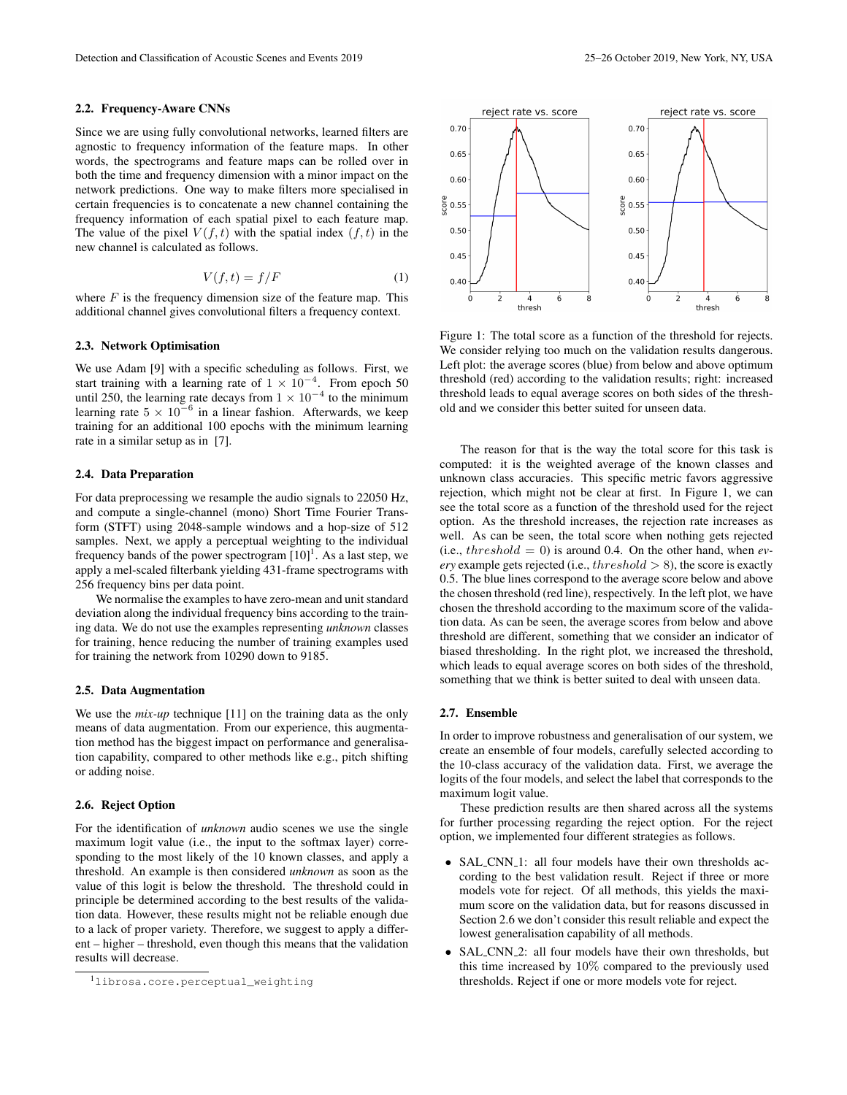#### 2.2. Frequency-Aware CNNs

Since we are using fully convolutional networks, learned filters are agnostic to frequency information of the feature maps. In other words, the spectrograms and feature maps can be rolled over in both the time and frequency dimension with a minor impact on the network predictions. One way to make filters more specialised in certain frequencies is to concatenate a new channel containing the frequency information of each spatial pixel to each feature map. The value of the pixel  $V(f, t)$  with the spatial index  $(f, t)$  in the new channel is calculated as follows.

$$
V(f, t) = f/F
$$
 (1)

where  $F$  is the frequency dimension size of the feature map. This additional channel gives convolutional filters a frequency context.

#### 2.3. Network Optimisation

We use Adam [9] with a specific scheduling as follows. First, we start training with a learning rate of  $1 \times 10^{-4}$ . From epoch 50 until 250, the learning rate decays from  $1 \times 10^{-4}$  to the minimum learning rate  $5 \times 10^{-6}$  in a linear fashion. Afterwards, we keep training for an additional 100 epochs with the minimum learning rate in a similar setup as in [7].

#### 2.4. Data Preparation

For data preprocessing we resample the audio signals to 22050 Hz, and compute a single-channel (mono) Short Time Fourier Transform (STFT) using 2048-sample windows and a hop-size of 512 samples. Next, we apply a perceptual weighting to the individual frequency bands of the power spectrogram  $[10]$ <sup>1</sup>. As a last step, we apply a mel-scaled filterbank yielding 431-frame spectrograms with 256 frequency bins per data point.

We normalise the examples to have zero-mean and unit standard deviation along the individual frequency bins according to the training data. We do not use the examples representing *unknown* classes for training, hence reducing the number of training examples used for training the network from 10290 down to 9185.

## 2.5. Data Augmentation

We use the *mix-up* technique [11] on the training data as the only means of data augmentation. From our experience, this augmentation method has the biggest impact on performance and generalisation capability, compared to other methods like e.g., pitch shifting or adding noise.

# 2.6. Reject Option

For the identification of *unknown* audio scenes we use the single maximum logit value (i.e., the input to the softmax layer) corresponding to the most likely of the 10 known classes, and apply a threshold. An example is then considered *unknown* as soon as the value of this logit is below the threshold. The threshold could in principle be determined according to the best results of the validation data. However, these results might not be reliable enough due to a lack of proper variety. Therefore, we suggest to apply a different – higher – threshold, even though this means that the validation results will decrease.



Figure 1: The total score as a function of the threshold for rejects. We consider relying too much on the validation results dangerous. Left plot: the average scores (blue) from below and above optimum threshold (red) according to the validation results; right: increased

threshold leads to equal average scores on both sides of the thresh-

old and we consider this better suited for unseen data.

The reason for that is the way the total score for this task is computed: it is the weighted average of the known classes and unknown class accuracies. This specific metric favors aggressive rejection, which might not be clear at first. In Figure 1, we can see the total score as a function of the threshold used for the reject option. As the threshold increases, the rejection rate increases as well. As can be seen, the total score when nothing gets rejected  $(i.e., threshold = 0)$  is around 0.4. On the other hand, when *every* example gets rejected (i.e.,  $threshold > 8$ ), the score is exactly 0.5. The blue lines correspond to the average score below and above the chosen threshold (red line), respectively. In the left plot, we have chosen the threshold according to the maximum score of the validation data. As can be seen, the average scores from below and above threshold are different, something that we consider an indicator of biased thresholding. In the right plot, we increased the threshold, which leads to equal average scores on both sides of the threshold, something that we think is better suited to deal with unseen data.

#### 2.7. Ensemble

In order to improve robustness and generalisation of our system, we create an ensemble of four models, carefully selected according to the 10-class accuracy of the validation data. First, we average the logits of the four models, and select the label that corresponds to the maximum logit value.

These prediction results are then shared across all the systems for further processing regarding the reject option. For the reject option, we implemented four different strategies as follows.

- SAL\_CNN\_1: all four models have their own thresholds according to the best validation result. Reject if three or more models vote for reject. Of all methods, this yields the maximum score on the validation data, but for reasons discussed in Section 2.6 we don't consider this result reliable and expect the lowest generalisation capability of all methods.
- SAL CNN 2: all four models have their own thresholds, but this time increased by 10% compared to the previously used thresholds. Reject if one or more models vote for reject.

<sup>1</sup>librosa.core.perceptual\_weighting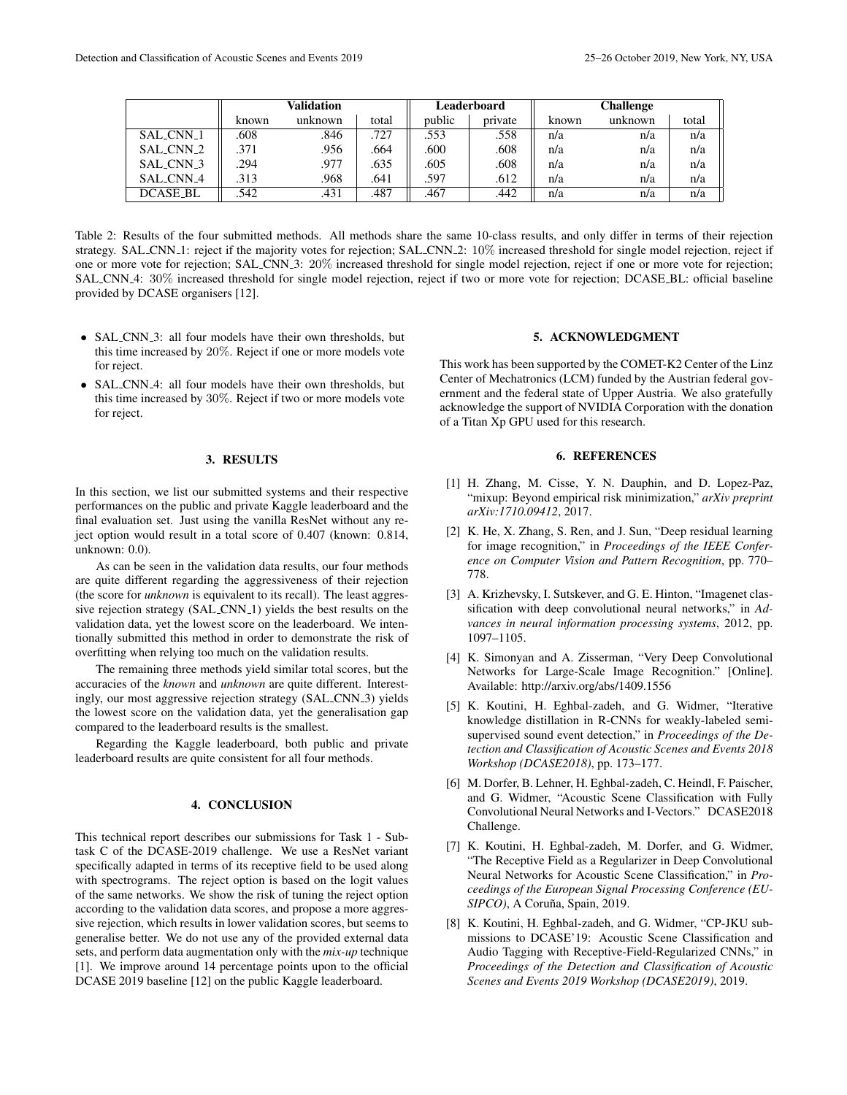|                 | Validation |         |       | Leaderboard |         | <b>Challenge</b> |         |       |
|-----------------|------------|---------|-------|-------------|---------|------------------|---------|-------|
|                 | known      | unknown | total | public      | private | known            | unknown | total |
| SAL_CNN_1       | .608       | .846    | .727  | .553        | .558    | n/a              | n/a     | n/a   |
| SAL_CNN_2       | .371       | .956    | .664  | .600        | .608    | n/a              | n/a     | n/a   |
| SAL_CNN_3       | .294       | .977    | .635  | .605        | .608    | n/a              | n/a     | n/a   |
| SAL CNN 4       | .313       | .968    | .641  | .597        | .612    | n/a              | n/a     | n/a   |
| <b>DCASE_BL</b> | .542       | .431    | .487  | .467        | .442    | n/a              | n/a     | n/a   |

Table 2: Results of the four submitted methods. All methods share the same 10-class results, and only differ in terms of their rejection strategy. SAL\_CNN\_1: reject if the majority votes for rejection; SAL\_CNN\_2: 10% increased threshold for single model rejection, reject if one or more vote for rejection; SAL CNN 3: 20% increased threshold for single model rejection, reject if one or more vote for rejection; SAL CNN 4: 30% increased threshold for single model rejection, reject if two or more vote for rejection; DCASE BL: official baseline provided by DCASE organisers [12].

- SAL\_CNN\_3: all four models have their own thresholds, but this time increased by 20%. Reject if one or more models vote for reject.
- SAL\_CNN\_4: all four models have their own thresholds, but this time increased by 30%. Reject if two or more models vote for reject.

#### 3. RESULTS

In this section, we list our submitted systems and their respective performances on the public and private Kaggle leaderboard and the final evaluation set. Just using the vanilla ResNet without any reject option would result in a total score of 0.407 (known: 0.814, unknown: 0.0).

As can be seen in the validation data results, our four methods are quite different regarding the aggressiveness of their rejection (the score for *unknown* is equivalent to its recall). The least aggressive rejection strategy (SAL\_CNN\_1) yields the best results on the validation data, yet the lowest score on the leaderboard. We intentionally submitted this method in order to demonstrate the risk of overfitting when relying too much on the validation results.

The remaining three methods yield similar total scores, but the accuracies of the *known* and *unknown* are quite different. Interestingly, our most aggressive rejection strategy (SAL CNN 3) yields the lowest score on the validation data, yet the generalisation gap compared to the leaderboard results is the smallest.

Regarding the Kaggle leaderboard, both public and private leaderboard results are quite consistent for all four methods.

# 4. CONCLUSION

This technical report describes our submissions for Task 1 - Subtask C of the DCASE-2019 challenge. We use a ResNet variant specifically adapted in terms of its receptive field to be used along with spectrograms. The reject option is based on the logit values of the same networks. We show the risk of tuning the reject option according to the validation data scores, and propose a more aggressive rejection, which results in lower validation scores, but seems to generalise better. We do not use any of the provided external data sets, and perform data augmentation only with the *mix-up* technique [1]. We improve around 14 percentage points upon to the official DCASE 2019 baseline [12] on the public Kaggle leaderboard.

## 5. ACKNOWLEDGMENT

This work has been supported by the COMET-K2 Center of the Linz Center of Mechatronics (LCM) funded by the Austrian federal government and the federal state of Upper Austria. We also gratefully acknowledge the support of NVIDIA Corporation with the donation of a Titan Xp GPU used for this research.

## 6. REFERENCES

- [1] H. Zhang, M. Cisse, Y. N. Dauphin, and D. Lopez-Paz, "mixup: Beyond empirical risk minimization," *arXiv preprint arXiv:1710.09412*, 2017.
- [2] K. He, X. Zhang, S. Ren, and J. Sun, "Deep residual learning for image recognition," in *Proceedings of the IEEE Conference on Computer Vision and Pattern Recognition*, pp. 770– 778.
- [3] A. Krizhevsky, I. Sutskever, and G. E. Hinton, "Imagenet classification with deep convolutional neural networks," in *Advances in neural information processing systems*, 2012, pp. 1097–1105.
- [4] K. Simonyan and A. Zisserman, "Very Deep Convolutional Networks for Large-Scale Image Recognition." [Online]. Available: http://arxiv.org/abs/1409.1556
- [5] K. Koutini, H. Eghbal-zadeh, and G. Widmer, "Iterative knowledge distillation in R-CNNs for weakly-labeled semisupervised sound event detection," in *Proceedings of the Detection and Classification of Acoustic Scenes and Events 2018 Workshop (DCASE2018)*, pp. 173–177.
- [6] M. Dorfer, B. Lehner, H. Eghbal-zadeh, C. Heindl, F. Paischer, and G. Widmer, "Acoustic Scene Classification with Fully Convolutional Neural Networks and I-Vectors." DCASE2018 Challenge.
- [7] K. Koutini, H. Eghbal-zadeh, M. Dorfer, and G. Widmer, "The Receptive Field as a Regularizer in Deep Convolutional Neural Networks for Acoustic Scene Classification," in *Proceedings of the European Signal Processing Conference (EU-SIPCO*), A Coruña, Spain, 2019.
- [8] K. Koutini, H. Eghbal-zadeh, and G. Widmer, "CP-JKU submissions to DCASE'19: Acoustic Scene Classification and Audio Tagging with Receptive-Field-Regularized CNNs," in *Proceedings of the Detection and Classification of Acoustic Scenes and Events 2019 Workshop (DCASE2019)*, 2019.